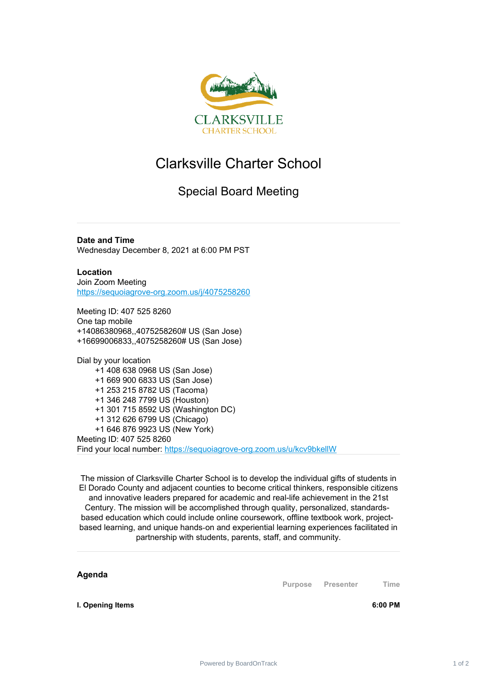

## Clarksville Charter School

## Special Board Meeting

**Date and Time** Wednesday December 8, 2021 at 6:00 PM PST

**Location** Join Zoom Meeting [https://sequoiagrove-org.zoom.us/j/4075258260](https://www.google.com/url?q=https://sequoiagrove-org.zoom.us/j/4075258260&sa=D&source=calendar&ust=1635092054101858&usg=AOvVaw2R7TmmfkcxJMzI_X4ALB1C)

Meeting ID: 407 525 8260 One tap mobile +14086380968,,4075258260# US (San Jose) +16699006833,,4075258260# US (San Jose)

Dial by your location +1 408 638 0968 US (San Jose) +1 669 900 6833 US (San Jose) +1 253 215 8782 US (Tacoma) +1 346 248 7799 US (Houston) +1 301 715 8592 US (Washington DC) +1 312 626 6799 US (Chicago) +1 646 876 9923 US (New York) Meeting ID: 407 525 8260 Find your local number: [https://sequoiagrove-org.zoom.us/u/kcv9bkellW](https://www.google.com/url?q=https://sequoiagrove-org.zoom.us/u/kcv9bkellW&sa=D&source=calendar&ust=1635092054101858&usg=AOvVaw3NirWxO5fYt1EagoKLbI_V)

The mission of Clarksville Charter School is to develop the individual gifts of students in El Dorado County and adjacent counties to become critical thinkers, responsible citizens and innovative leaders prepared for academic and real-life achievement in the 21st Century. The mission will be accomplished through quality, personalized, standardsbased education which could include online coursework, offline textbook work, projectbased learning, and unique hands‐on and experiential learning experiences facilitated in partnership with students, parents, staff, and community.

**Agenda**

**Purpose Presenter Time**

**I. Opening Items 6:00 PM**